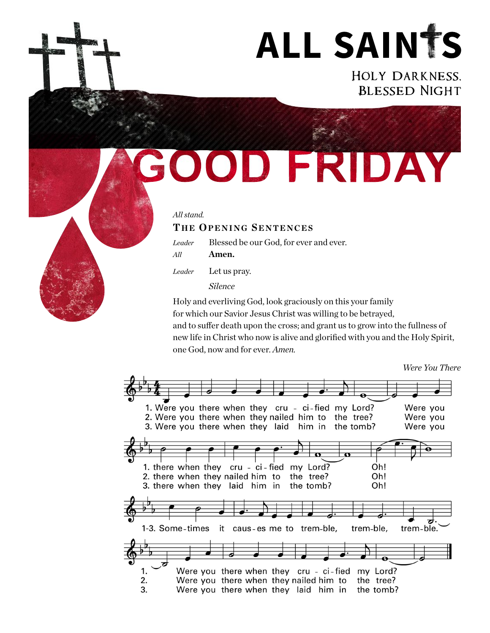

Holy Darkness, Blessed Night

SOOD FRIDAY

### *All stand.*

## **THE OPENING SENTENCES**

*Leader* Blessed be our God, for ever and ever.

*All* **Amen.**

*Leader* Let us pray.

*Silence*

Holy and everliving God, look graciously on this your family for which our Savior Jesus Christ was willing to be betrayed, and to suffer death upon the cross; and grant us to grow into the fullness of new life in Christ who now is alive and glorified with you and the Holy Spirit, one God, now and for ever. *Amen.*

*Were You There*



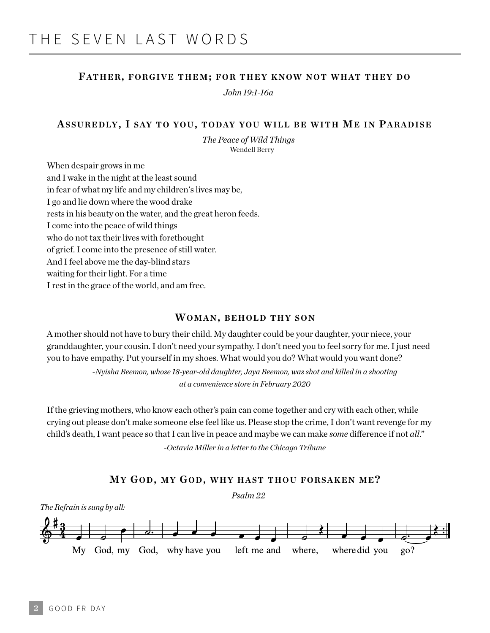### **FATHER, FORGIVE THEM; FOR THEY KNOW NOT WHAT THEY D O**

*John 19:1-16a*

### ASSUREDLY, I SAY TO YOU, TODAY YOU WILL BE WITH ME IN PARADISE

*The Peace of Wild Things*  Wendell Berry

When despair grows in me and I wake in the night at the least sound in fear of what my life and my children's lives may be, I go and lie down where the wood drake rests in his beauty on the water, and the great heron feeds. I come into the peace of wild things who do not tax their lives with forethought of grief. I come into the presence of still water. And I feel above me the day-blind stars waiting for their light. For a time I rest in the grace of the world, and am free.

### **WOMAN, BEHOLD THY SON**

A mother should not have to bury their child. My daughter could be your daughter, your niece, your granddaughter, your cousin. I don't need your sympathy. I don't need you to feel sorry for me. I just need you to have empathy. Put yourself in my shoes. What would you do? What would you want done?

> *-Nyisha Beemon, whose 18-year-old daughter, Jaya Beemon, was shot and killed in a shooting at a convenience store in February 2020*

If the grieving mothers, who know each other's pain can come together and cry with each other, while crying out please don't make someone else feel like us. Please stop the crime, I don't want revenge for my child's death, I want peace so that I can live in peace and maybe we can make *some* difference if not *all*."

-*Octavia Miller in a letter to the Chicago Tribune* 

#### **MY GO D, M Y GO D, WHY HAST THOU FORSAKEN M E?**

*Psalm 22*

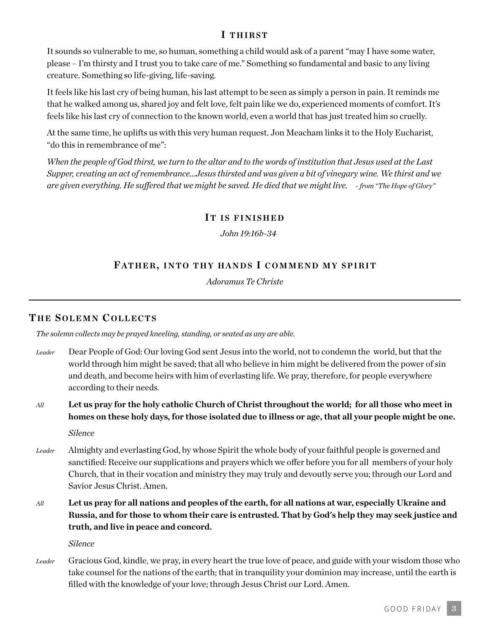# **I THIRST**

It sounds so vulnerable to me, so human, something a child would ask of a parent "may I have some water, please – I'm thirsty and I trust you to take care of me." Something so fundamental and basic to any living creature. Something so life-giving, life-saving.

It feels like his last cry of being human, his last attempt to be seen as simply a person in pain. It reminds me that he walked among us, shared joy and felt love, felt pain like we do, experienced moments of comfort. It's feels like his last cry of connection to the known world, even a world that has just treated him so cruelly.

At the same time, he uplifts us with this very human request. Jon Meacham links it to the Holy Eucharist, "do this in remembrance of me":

*When the people of God thirst, we turn to the altar and to the words of institution that Jesus used at the Last Supper, creating an act of remembrance…Jesus thirsted and was given a bit of vinegary wine. We thirst and we are given everything. He suffered that we might be saved. He died that we might live. - from "The Hope of Glory"*

### **IT IS FINISHED**

*John 19:16b-34*

## **FATHER, INTO THY HANDS I COMMEND MY SPIRIT**

*Adoramus Te Christe*

## **TH E SOLEMN COLLECTS**

*The solemn collects may be prayed kneeling, standing, or seated as any are able.* 

- *Leader* Dear People of God: Our loving God sent Jesus into the world, not to condemn the world, but that the world through him might be saved; that all who believe in him might be delivered from the power of sin and death, and become heirs with him of everlasting life. We pray, therefore, for people everywhere according to their needs.
- *All* **Let us pray for the holy catholic Church of Christ throughout the world; for all those who meet in homes on these holy days, for those isolated due to illness or age, that all your people might be one.**

*Silence*

- *Leader* Almighty and everlasting God, by whose Spirit the whole body of your faithful people is governed and sanctified: Receive our supplications and prayers which we offer before you for all members of your holy Church, that in their vocation and ministry they may truly and devoutly serve you; through our Lord and Savior Jesus Christ. Amen.
- *All* **Let us pray for all nations and peoples of the earth, for all nations at war, especially Ukraine and Russia, and for those to whom their care is entrusted. That by God's help they may seek justice and truth, and live in peace and concord.**

*Silence*

*Leader* Gracious God, kindle, we pray, in every heart the true love of peace, and guide with your wisdom those who take counsel for the nations of the earth; that in tranquility your dominion may increase, until the earth is filled with the knowledge of your love; through Jesus Christ our Lord. Amen.